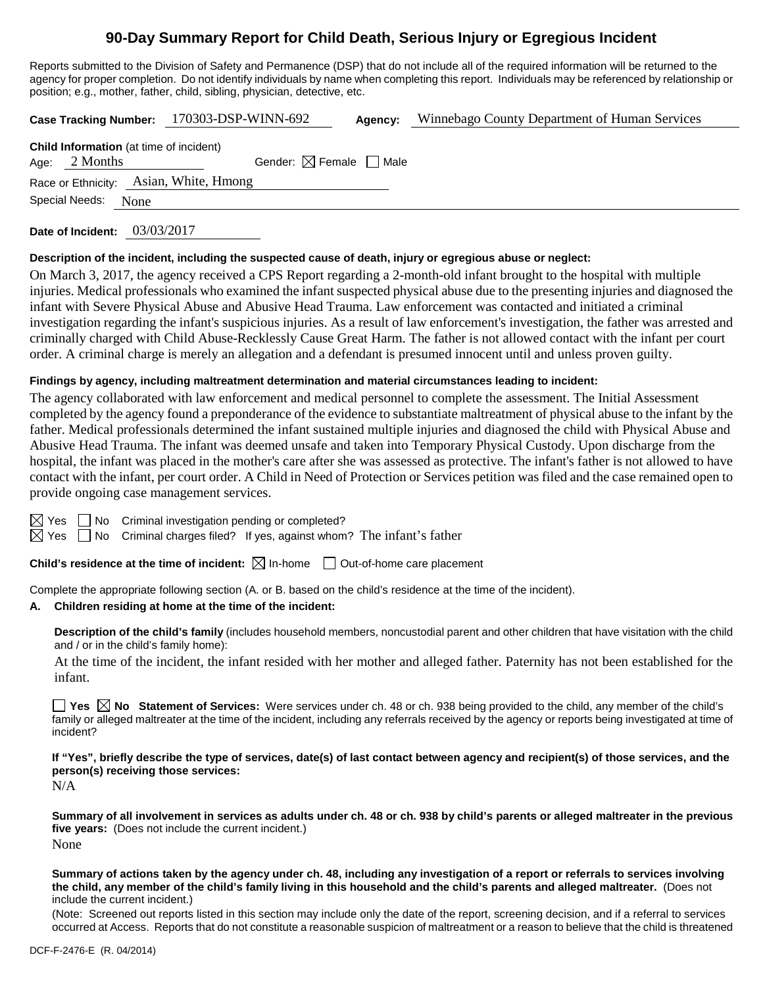# **90-Day Summary Report for Child Death, Serious Injury or Egregious Incident**

Reports submitted to the Division of Safety and Permanence (DSP) that do not include all of the required information will be returned to the agency for proper completion. Do not identify individuals by name when completing this report. Individuals may be referenced by relationship or position; e.g., mother, father, child, sibling, physician, detective, etc.

| <b>Case Tracking Number:</b>                   | 170303-DSP-WINN-692                    | Agency: | Winnebago County Department of Human Services |
|------------------------------------------------|----------------------------------------|---------|-----------------------------------------------|
| <b>Child Information</b> (at time of incident) |                                        |         |                                               |
| Age: $2$ Months                                | Gender: $\boxtimes$ Female $\Box$ Male |         |                                               |

Race or Ethnicity: Asian, White, Hmong

Special Needs: None

**Date of Incident:** 03/03/2017

### **Description of the incident, including the suspected cause of death, injury or egregious abuse or neglect:**

On March 3, 2017, the agency received a CPS Report regarding a 2-month-old infant brought to the hospital with multiple injuries. Medical professionals who examined the infant suspected physical abuse due to the presenting injuries and diagnosed the infant with Severe Physical Abuse and Abusive Head Trauma. Law enforcement was contacted and initiated a criminal investigation regarding the infant's suspicious injuries. As a result of law enforcement's investigation, the father was arrested and criminally charged with Child Abuse-Recklessly Cause Great Harm. The father is not allowed contact with the infant per court order. A criminal charge is merely an allegation and a defendant is presumed innocent until and unless proven guilty.

# **Findings by agency, including maltreatment determination and material circumstances leading to incident:**

The agency collaborated with law enforcement and medical personnel to complete the assessment. The Initial Assessment completed by the agency found a preponderance of the evidence to substantiate maltreatment of physical abuse to the infant by the father. Medical professionals determined the infant sustained multiple injuries and diagnosed the child with Physical Abuse and Abusive Head Trauma. The infant was deemed unsafe and taken into Temporary Physical Custody. Upon discharge from the hospital, the infant was placed in the mother's care after she was assessed as protective. The infant's father is not allowed to have contact with the infant, per court order. A Child in Need of Protection or Services petition was filed and the case remained open to provide ongoing case management services.

| ×<br>۰, |
|---------|
|         |

 $\Box$  No Criminal investigation pending or completed?

 $\boxtimes$  Yes  $\Box$  No Criminal charges filed? If yes, against whom? The infant's father

**Child's residence at the time of incident:**  $\boxtimes$  In-home  $\Box$  Out-of-home care placement

Complete the appropriate following section (A. or B. based on the child's residence at the time of the incident).

# **A. Children residing at home at the time of the incident:**

**Description of the child's family** (includes household members, noncustodial parent and other children that have visitation with the child and / or in the child's family home):

At the time of the incident, the infant resided with her mother and alleged father. Paternity has not been established for the infant.

■ Yes **No** Statement of Services: Were services under ch. 48 or ch. 938 being provided to the child, any member of the child's family or alleged maltreater at the time of the incident, including any referrals received by the agency or reports being investigated at time of incident?

**If "Yes", briefly describe the type of services, date(s) of last contact between agency and recipient(s) of those services, and the person(s) receiving those services:**

N/A

**Summary of all involvement in services as adults under ch. 48 or ch. 938 by child's parents or alleged maltreater in the previous five years:** (Does not include the current incident.) None

**Summary of actions taken by the agency under ch. 48, including any investigation of a report or referrals to services involving the child, any member of the child's family living in this household and the child's parents and alleged maltreater.** (Does not include the current incident.)

(Note: Screened out reports listed in this section may include only the date of the report, screening decision, and if a referral to services occurred at Access. Reports that do not constitute a reasonable suspicion of maltreatment or a reason to believe that the child is threatened